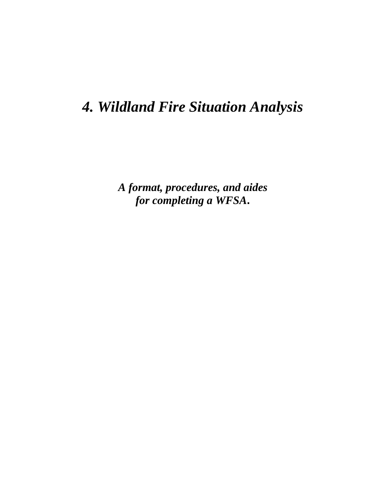# *4. Wildland Fire Situation Analysis*

*A format, procedures, and aides for completing a WFSA***.**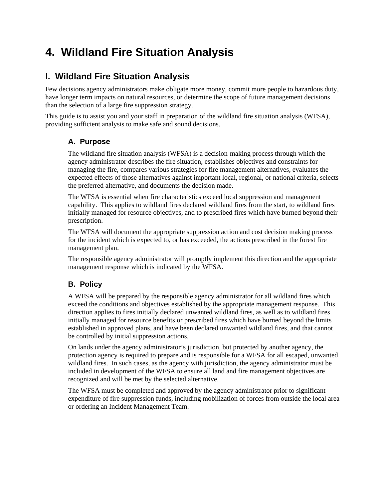## **4. Wildland Fire Situation Analysis**

## **I. Wildland Fire Situation Analysis**

Few decisions agency administrators make obligate more money, commit more people to hazardous duty, have longer term impacts on natural resources, or determine the scope of future management decisions than the selection of a large fire suppression strategy.

This guide is to assist you and your staff in preparation of the wildland fire situation analysis (WFSA), providing sufficient analysis to make safe and sound decisions.

## **A. Purpose**

The wildland fire situation analysis (WFSA) is a decision-making process through which the agency administrator describes the fire situation, establishes objectives and constraints for managing the fire, compares various strategies for fire management alternatives, evaluates the expected effects of those alternatives against important local, regional, or national criteria, selects the preferred alternative, and documents the decision made.

The WFSA is essential when fire characteristics exceed local suppression and management capability. This applies to wildland fires declared wildland fires from the start, to wildland fires initially managed for resource objectives, and to prescribed fires which have burned beyond their prescription.

The WFSA will document the appropriate suppression action and cost decision making process for the incident which is expected to, or has exceeded, the actions prescribed in the forest fire management plan.

The responsible agency administrator will promptly implement this direction and the appropriate management response which is indicated by the WFSA.

## **B. Policy**

A WFSA will be prepared by the responsible agency administrator for all wildland fires which exceed the conditions and objectives established by the appropriate management response. This direction applies to fires initially declared unwanted wildland fires, as well as to wildland fires initially managed for resource benefits or prescribed fires which have burned beyond the limits established in approved plans, and have been declared unwanted wildland fires, and that cannot be controlled by initial suppression actions.

On lands under the agency administrator's jurisdiction, but protected by another agency, the protection agency is required to prepare and is responsible for a WFSA for all escaped, unwanted wildland fires. In such cases, as the agency with jurisdiction, the agency administrator must be included in development of the WFSA to ensure all land and fire management objectives are recognized and will be met by the selected alternative.

The WFSA must be completed and approved by the agency administrator prior to significant expenditure of fire suppression funds, including mobilization of forces from outside the local area or ordering an Incident Management Team.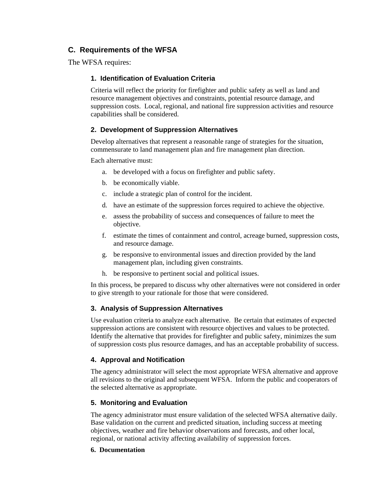## **C. Requirements of the WFSA**

The WFSA requires:

## **1. Identification of Evaluation Criteria**

Criteria will reflect the priority for firefighter and public safety as well as land and resource management objectives and constraints, potential resource damage, and suppression costs. Local, regional, and national fire suppression activities and resource capabilities shall be considered.

## **2. Development of Suppression Alternatives**

Develop alternatives that represent a reasonable range of strategies for the situation, commensurate to land management plan and fire management plan direction.

Each alternative must:

- a. be developed with a focus on firefighter and public safety.
- b. be economically viable.
- c. include a strategic plan of control for the incident.
- d. have an estimate of the suppression forces required to achieve the objective.
- e. assess the probability of success and consequences of failure to meet the objective.
- f. estimate the times of containment and control, acreage burned, suppression costs, and resource damage.
- g. be responsive to environmental issues and direction provided by the land management plan, including given constraints.
- h. be responsive to pertinent social and political issues.

In this process, be prepared to discuss why other alternatives were not considered in order to give strength to your rationale for those that were considered.

## **3. Analysis of Suppression Alternatives**

Use evaluation criteria to analyze each alternative. Be certain that estimates of expected suppression actions are consistent with resource objectives and values to be protected. Identify the alternative that provides for firefighter and public safety, minimizes the sum of suppression costs plus resource damages, and has an acceptable probability of success.

## **4. Approval and Notification**

The agency administrator will select the most appropriate WFSA alternative and approve all revisions to the original and subsequent WFSA. Inform the public and cooperators of the selected alternative as appropriate.

## **5. Monitoring and Evaluation**

The agency administrator must ensure validation of the selected WFSA alternative daily. Base validation on the current and predicted situation, including success at meeting objectives, weather and fire behavior observations and forecasts, and other local, regional, or national activity affecting availability of suppression forces.

#### **6. Documentation**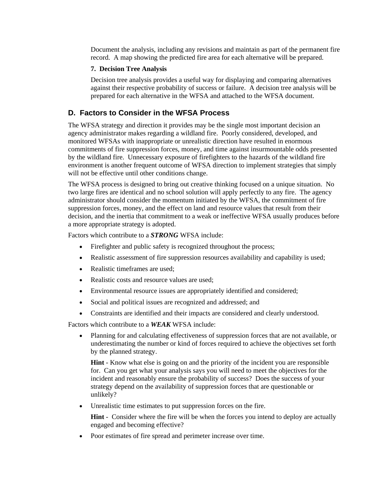Document the analysis, including any revisions and maintain as part of the permanent fire record. A map showing the predicted fire area for each alternative will be prepared.

#### **7. Decision Tree Analysis**

Decision tree analysis provides a useful way for displaying and comparing alternatives against their respective probability of success or failure. A decision tree analysis will be prepared for each alternative in the WFSA and attached to the WFSA document.

## **D. Factors to Consider in the WFSA Process**

The WFSA strategy and direction it provides may be the single most important decision an agency administrator makes regarding a wildland fire. Poorly considered, developed, and monitored WFSAs with inappropriate or unrealistic direction have resulted in enormous commitments of fire suppression forces, money, and time against insurmountable odds presented by the wildland fire. Unnecessary exposure of firefighters to the hazards of the wildland fire environment is another frequent outcome of WFSA direction to implement strategies that simply will not be effective until other conditions change.

The WFSA process is designed to bring out creative thinking focused on a unique situation. No two large fires are identical and no school solution will apply perfectly to any fire. The agency administrator should consider the momentum initiated by the WFSA, the commitment of fire suppression forces, money, and the effect on land and resource values that result from their decision, and the inertia that commitment to a weak or ineffective WFSA usually produces before a more appropriate strategy is adopted.

Factors which contribute to a *STRONG* WFSA include:

- Firefighter and public safety is recognized throughout the process;
- Realistic assessment of fire suppression resources availability and capability is used;
- Realistic timeframes are used:
- Realistic costs and resource values are used;
- Environmental resource issues are appropriately identified and considered;
- Social and political issues are recognized and addressed; and
- Constraints are identified and their impacts are considered and clearly understood.

Factors which contribute to a *WEAK* WFSA include:

• Planning for and calculating effectiveness of suppression forces that are not available, or underestimating the number or kind of forces required to achieve the objectives set forth by the planned strategy.

**Hint** - Know what else is going on and the priority of the incident you are responsible for. Can you get what your analysis says you will need to meet the objectives for the incident and reasonably ensure the probability of success? Does the success of your strategy depend on the availability of suppression forces that are questionable or unlikely?

• Unrealistic time estimates to put suppression forces on the fire.

 **Hint** - Consider where the fire will be when the forces you intend to deploy are actually engaged and becoming effective?

• Poor estimates of fire spread and perimeter increase over time.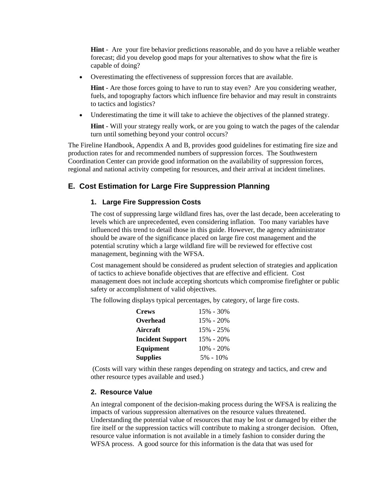**Hint** - Are your fire behavior predictions reasonable, and do you have a reliable weather forecast; did you develop good maps for your alternatives to show what the fire is capable of doing?

• Overestimating the effectiveness of suppression forces that are available.

 **Hint** - Are those forces going to have to run to stay even? Are you considering weather, fuels, and topography factors which influence fire behavior and may result in constraints to tactics and logistics?

• Underestimating the time it will take to achieve the objectives of the planned strategy.

 **Hint** - Will your strategy really work, or are you going to watch the pages of the calendar turn until something beyond your control occurs?

The Fireline Handbook, Appendix A and B, provides good guidelines for estimating fire size and production rates for and recommended numbers of suppression forces. The Southwestern Coordination Center can provide good information on the availability of suppression forces, regional and national activity competing for resources, and their arrival at incident timelines.

## **E. Cost Estimation for Large Fire Suppression Planning**

#### **1. Large Fire Suppression Costs**

The cost of suppressing large wildland fires has, over the last decade, been accelerating to levels which are unprecedented, even considering inflation. Too many variables have influenced this trend to detail those in this guide. However, the agency administrator should be aware of the significance placed on large fire cost management and the potential scrutiny which a large wildland fire will be reviewed for effective cost management, beginning with the WFSA.

Cost management should be considered as prudent selection of strategies and application of tactics to achieve bonafide objectives that are effective and efficient. Cost management does not include accepting shortcuts which compromise firefighter or public safety or accomplishment of valid objectives.

The following displays typical percentages, by category, of large fire costs.

| <b>Crews</b>            | 15% - 30%     |
|-------------------------|---------------|
| Overhead                | $15\% - 20\%$ |
| Aircraft                | $15\% - 25\%$ |
| <b>Incident Support</b> | $15\% - 20\%$ |
| Equipment               | $10\% - 20\%$ |
| <b>Supplies</b>         | $5\% - 10\%$  |

 (Costs will vary within these ranges depending on strategy and tactics, and crew and other resource types available and used.)

#### **2. Resource Value**

An integral component of the decision-making process during the WFSA is realizing the impacts of various suppression alternatives on the resource values threatened. Understanding the potential value of resources that may be lost or damaged by either the fire itself or the suppression tactics will contribute to making a stronger decision. Often, resource value information is not available in a timely fashion to consider during the WFSA process. A good source for this information is the data that was used for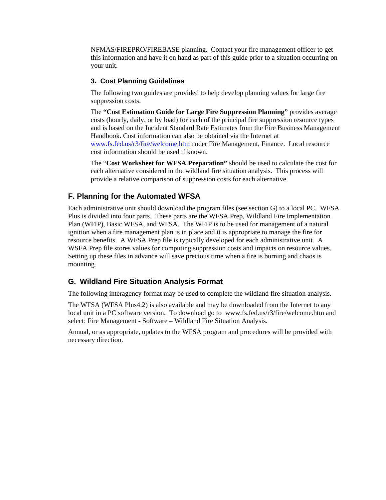NFMAS/FIREPRO/FIREBASE planning. Contact your fire management officer to get this information and have it on hand as part of this guide prior to a situation occurring on your unit.

#### **3. Cost Planning Guidelines**

The following two guides are provided to help develop planning values for large fire suppression costs.

The **"Cost Estimation Guide for Large Fire Suppression Planning"** provides average costs (hourly, daily, or by load) for each of the principal fire suppression resource types and is based on the Incident Standard Rate Estimates from the Fire Business Management Handbook. Cost information can also be obtained via the Internet at www.fs.fed.us/r3/fire/welcome.htm under Fire Management, Finance. Local resource cost information should be used if known.

The "**Cost Worksheet for WFSA Preparation"** should be used to calculate the cost for each alternative considered in the wildland fire situation analysis. This process will provide a relative comparison of suppression costs for each alternative.

## **F. Planning for the Automated WFSA**

Each administrative unit should download the program files (see section G) to a local PC. WFSA Plus is divided into four parts. These parts are the WFSA Prep, Wildland Fire Implementation Plan (WFIP), Basic WFSA, and WFSA. The WFIP is to be used for management of a natural ignition when a fire management plan is in place and it is appropriate to manage the fire for resource benefits. A WFSA Prep file is typically developed for each administrative unit. A WSFA Prep file stores values for computing suppression costs and impacts on resource values. Setting up these files in advance will save precious time when a fire is burning and chaos is mounting.

## **G. Wildland Fire Situation Analysis Format**

The following interagency format may be used to complete the wildland fire situation analysis.

The WFSA (WFSA Plus4.2) is also available and may be downloaded from the Internet to any local unit in a PC software version. To download go to www.fs.fed.us/r3/fire/welcome.htm and select: Fire Management - Software – Wildland Fire Situation Analysis.

Annual, or as appropriate, updates to the WFSA program and procedures will be provided with necessary direction.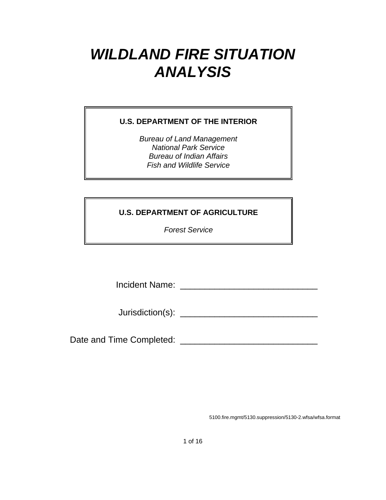# *WILDLAND FIRE SITUATION ANALYSIS*

## **U.S. DEPARTMENT OF THE INTERIOR**

*Bureau of Land Management National Park Service Bureau of Indian Affairs Fish and Wildlife Service*

## **U.S. DEPARTMENT OF AGRICULTURE**

*Forest Service*

Incident Name: \_\_\_\_\_\_\_\_\_\_\_\_\_\_\_\_\_\_\_\_\_\_\_\_\_\_\_\_

Jurisdiction(s): \_\_\_\_\_\_\_\_\_\_\_\_\_\_\_\_\_\_\_\_\_\_\_\_\_\_\_\_

Date and Time Completed: \_\_\_\_\_\_\_\_\_\_\_\_\_\_\_\_\_\_\_\_\_\_\_\_\_\_\_\_

5100.fire.mgmt/5130.suppression/5130-2.wfsa/wfsa.format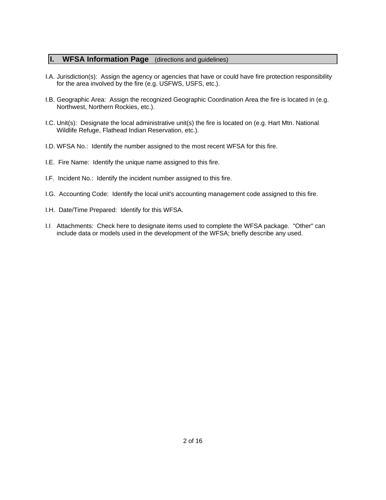## **I. WFSA Information Page** (directions and guidelines)

- I.A. Jurisdiction(s): Assign the agency or agencies that have or could have fire protection responsibility for the area involved by the fire (e.g. USFWS, USFS, etc.).
- I.B. Geographic Area: Assign the recognized Geographic Coordination Area the fire is located in (e.g. Northwest, Northern Rockies, etc.).
- I.C. Unit(s): Designate the local administrative unit(s) the fire is located on (e.g. Hart Mtn. National Wildlife Refuge, Flathead Indian Reservation, etc.).
- I.D. WFSA No.: Identify the number assigned to the most recent WFSA for this fire.
- I.E. Fire Name: Identify the unique name assigned to this fire.
- I.F. Incident No.: Identify the incident number assigned to this fire.
- I.G. Accounting Code: Identify the local unit's accounting management code assigned to this fire.
- I.H. Date/Time Prepared: Identify for this WFSA.
- I.I Attachments: Check here to designate items used to complete the WFSA package. "Other" can include data or models used in the development of the WFSA; briefly describe any used.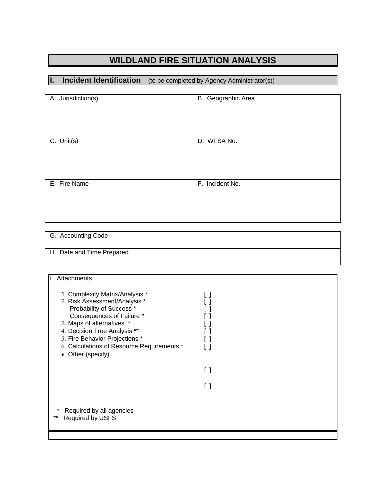## **WILDLAND FIRE SITUATION ANALYSIS**

## **I.** Incident Identification (to be completed by Agency Administrator(s))

| A. Jurisdiction(s) | B. Geographic Area |
|--------------------|--------------------|
|                    |                    |
| C. Unit(s)         | D. WFSA No.        |
| E. Fire Name       | F. Incident No.    |

## G. Accounting Code H. Date and Time Prepared

|  | I. Attachments |
|--|----------------|
|--|----------------|

| 1. Complexity Matrix/Analysis *<br>2. Risk Assessment/Analysis *<br>Probability of Success *<br>Consequences of Failure *<br>3. Maps of alternatives *<br>4. Decision Tree Analysis **<br>5. Fire Behavior Projections *<br>6. Calculations of Resource Requirements *<br>• Other (specify) |  |
|---------------------------------------------------------------------------------------------------------------------------------------------------------------------------------------------------------------------------------------------------------------------------------------------|--|
| Required by all agencies<br><b>Required by USFS</b><br>$***$                                                                                                                                                                                                                                |  |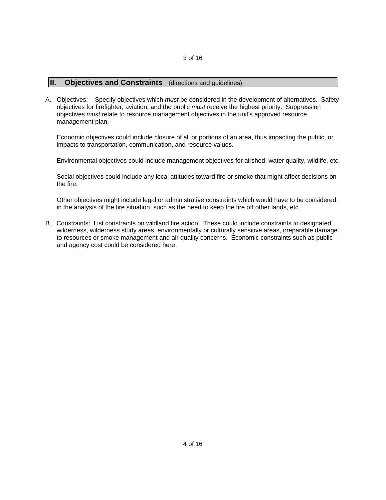#### **II.** Objectives and Constraints (directions and guidelines)

A. Objectives: Specify objectives which *must* be considered in the development of alternatives. Safety objectives for firefighter, aviation, and the public *must* receive the highest priority. Suppression objectives *must* relate to resource management objectives in the unit's approved resource management plan.

Economic objectives could include closure of all or portions of an area, thus impacting the public, or impacts to transportation, communication, and resource values.

Environmental objectives could include management objectives for airshed, water quality, wildlife, etc.

Social objectives could include any local attitudes toward fire or smoke that might affect decisions on the fire.

Other objectives might include legal or administrative constraints which would have to be considered in the analysis of the fire situation, such as the need to keep the fire off other lands, etc.

B. Constraints: List constraints on wildland fire action. These could include constraints to designated wilderness, wilderness study areas, environmentally or culturally sensitive areas, irreparable damage to resources or smoke management and air quality concerns. Economic constraints such as public and agency cost could be considered here.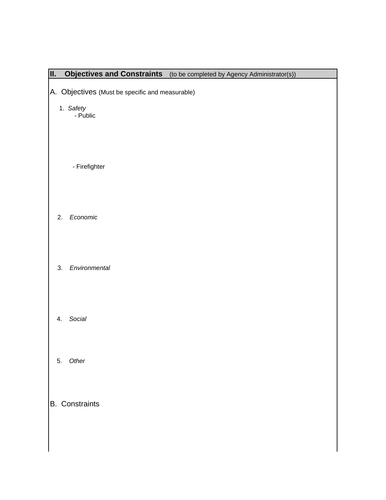| II.                                             | <b>Objectives and Constraints</b> (to be completed by Agency Administrator(s)) |
|-------------------------------------------------|--------------------------------------------------------------------------------|
| A. Objectives (Must be specific and measurable) |                                                                                |
| 1. Safety<br>- Public                           |                                                                                |
|                                                 |                                                                                |
|                                                 |                                                                                |
| - Firefighter                                   |                                                                                |
|                                                 |                                                                                |
| Economic<br>2.                                  |                                                                                |
|                                                 |                                                                                |
| Environmental<br>3.                             |                                                                                |
|                                                 |                                                                                |
| Social<br>4.                                    |                                                                                |
|                                                 |                                                                                |
| 5.<br>Other                                     |                                                                                |
|                                                 |                                                                                |
| <b>B.</b> Constraints                           |                                                                                |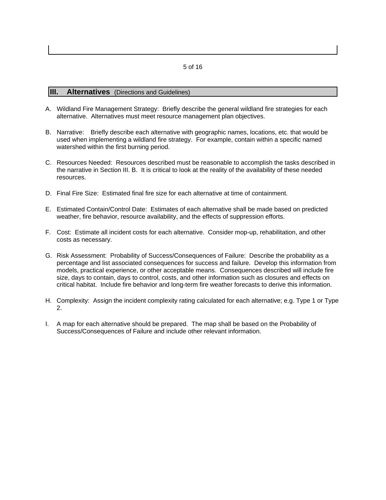#### 5 of 16

#### **III.** Alternatives (Directions and Guidelines)

- A. Wildland Fire Management Strategy: Briefly describe the general wildland fire strategies for each alternative. Alternatives must meet resource management plan objectives.
- B. Narrative: Briefly describe each alternative with geographic names, locations, etc. that would be used when implementing a wildland fire strategy. For example, contain within a specific named watershed within the first burning period.
- C. Resources Needed: Resources described must be reasonable to accomplish the tasks described in the narrative in Section III. B. It is critical to look at the reality of the availability of these needed resources.
- D. Final Fire Size: Estimated final fire size for each alternative at time of containment.
- E. Estimated Contain/Control Date: Estimates of each alternative shall be made based on predicted weather, fire behavior, resource availability, and the effects of suppression efforts.
- F. Cost: Estimate all incident costs for each alternative. Consider mop-up, rehabilitation, and other costs as necessary.
- G. Risk Assessment: Probability of Success/Consequences of Failure: Describe the probability as a percentage and list associated consequences for success and failure. Develop this information from models, practical experience, or other acceptable means. Consequences described will include fire size, days to contain, days to control, costs, and other information such as closures and effects on critical habitat. Include fire behavior and long-term fire weather forecasts to derive this information.
- H. Complexity: Assign the incident complexity rating calculated for each alternative; e.g. Type 1 or Type 2.
- I. A map for each alternative should be prepared. The map shall be based on the Probability of Success/Consequences of Failure and include other relevant information.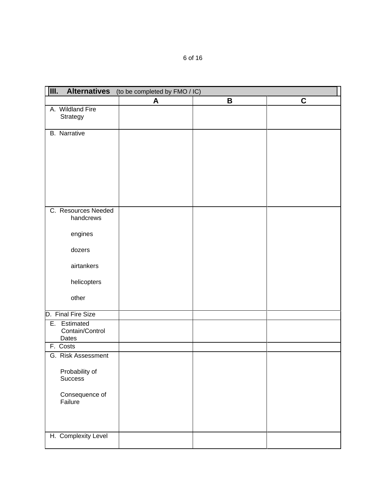|                                  | III. Alternatives (to be completed by FMO / IC) |   |   |
|----------------------------------|-------------------------------------------------|---|---|
|                                  | A                                               | В | C |
| A. Wildland Fire<br>Strategy     |                                                 |   |   |
| <b>B.</b> Narrative              |                                                 |   |   |
| C. Resources Needed<br>handcrews |                                                 |   |   |
| engines                          |                                                 |   |   |

|                                          | A | ь | U |
|------------------------------------------|---|---|---|
| A. Wildland Fire<br>Strategy             |   |   |   |
| <b>B.</b> Narrative                      |   |   |   |
|                                          |   |   |   |
| C. Resources Needed<br>handcrews         |   |   |   |
| engines                                  |   |   |   |
| dozers                                   |   |   |   |
| airtankers                               |   |   |   |
| helicopters                              |   |   |   |
| other                                    |   |   |   |
| D. Final Fire Size                       |   |   |   |
| E. Estimated<br>Contain/Control<br>Dates |   |   |   |
| F. Costs                                 |   |   |   |
| G. Risk Assessment                       |   |   |   |
| Probability of<br><b>Success</b>         |   |   |   |
| Consequence of<br>Failure                |   |   |   |
| H. Complexity Level                      |   |   |   |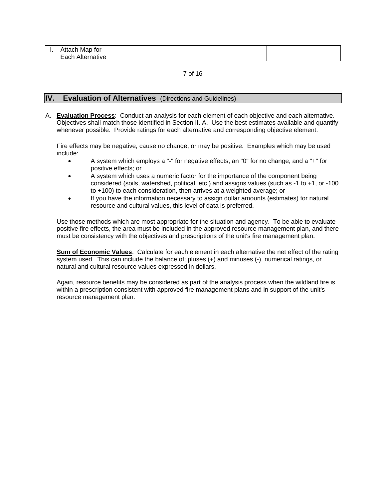| Attach<br>Map for   |  |  |
|---------------------|--|--|
| Each<br>Alternative |  |  |

7 of 16

## **IV. Evaluation of Alternatives** (Directions and Guidelines)

A. **Evaluation Process**: Conduct an analysis for each element of each objective and each alternative. Objectives shall match those identified in Section II. A. Use the best estimates available and quantify whenever possible. Provide ratings for each alternative and corresponding objective element.

 Fire effects may be negative, cause no change, or may be positive. Examples which may be used include:

- A system which employs a "-" for negative effects, an "0" for no change, and a "+" for positive effects; or
- A system which uses a numeric factor for the importance of the component being considered (soils, watershed, political, etc.) and assigns values (such as -1 to +1, or -100 to +100) to each consideration, then arrives at a weighted average; or
- If you have the information necessary to assign dollar amounts (estimates) for natural resource and cultural values, this level of data is preferred.

 Use those methods which are most appropriate for the situation and agency. To be able to evaluate positive fire effects, the area must be included in the approved resource management plan, and there must be consistency with the objectives and prescriptions of the unit's fire management plan.

**Sum of Economic Values**: Calculate for each element in each alternative the net effect of the rating system used. This can include the balance of; pluses (+) and minuses (-), numerical ratings, or natural and cultural resource values expressed in dollars.

 Again, resource benefits may be considered as part of the analysis process when the wildland fire is within a prescription consistent with approved fire management plans and in support of the unit's resource management plan.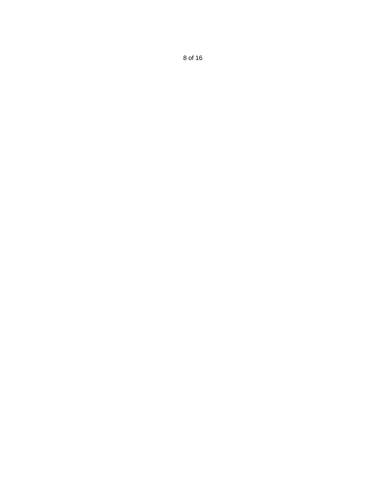8 of 16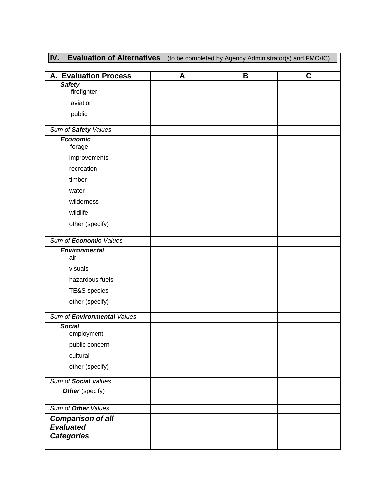| IV.<br><b>Evaluation of Alternatives</b>     | (to be completed by Agency Administrator(s) and FMO/IC) |   |   |
|----------------------------------------------|---------------------------------------------------------|---|---|
| <b>A. Evaluation Process</b>                 | A                                                       | B | C |
| <b>Safety</b>                                |                                                         |   |   |
| firefighter                                  |                                                         |   |   |
| aviation                                     |                                                         |   |   |
| public                                       |                                                         |   |   |
| Sum of Safety Values                         |                                                         |   |   |
| <b>Economic</b><br>forage                    |                                                         |   |   |
| improvements                                 |                                                         |   |   |
| recreation                                   |                                                         |   |   |
| timber                                       |                                                         |   |   |
| water                                        |                                                         |   |   |
| wilderness                                   |                                                         |   |   |
| wildlife                                     |                                                         |   |   |
| other (specify)                              |                                                         |   |   |
|                                              |                                                         |   |   |
| Sum of Economic Values                       |                                                         |   |   |
| <b>Environmental</b><br>air                  |                                                         |   |   |
| visuals                                      |                                                         |   |   |
| hazardous fuels                              |                                                         |   |   |
| <b>TE&amp;S</b> species                      |                                                         |   |   |
| other (specify)                              |                                                         |   |   |
|                                              |                                                         |   |   |
| Sum of Environmental Values<br><b>Social</b> |                                                         |   |   |
| employment                                   |                                                         |   |   |
| public concern                               |                                                         |   |   |
| cultural                                     |                                                         |   |   |
| other (specify)                              |                                                         |   |   |
| Sum of Social Values                         |                                                         |   |   |
| Other (specify)                              |                                                         |   |   |
| Sum of Other Values                          |                                                         |   |   |
| <b>Comparison of all</b>                     |                                                         |   |   |
| <b>Evaluated</b>                             |                                                         |   |   |
| <b>Categories</b>                            |                                                         |   |   |
|                                              |                                                         |   |   |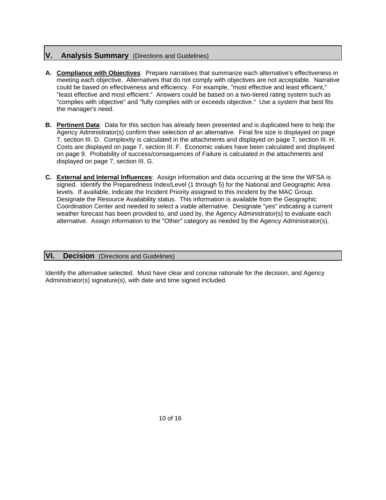## **V. Analysis Summary** (Directions and Guidelines)

- **A. Compliance with Objectives**: Prepare narratives that summarize each alternative's effectiveness in meeting each objective. Alternatives that do not comply with objectives are not acceptable. Narrative could be based on effectiveness and efficiency. For example, "most effective and least efficient," "least effective and most efficient." Answers could be based on a two-tiered rating system such as "complies with objective" and "fully complies with or exceeds objective." Use a system that best fits the manager's need.
- **B. Pertinent Data**: Data for this section has already been presented and is duplicated here to help the Agency Administrator(s) confirm their selection of an alternative. Final fire size is displayed on page 7, section III. D. Complexity is calculated in the attachments and displayed on page 7, section III. H. Costs are displayed on page 7, section III. F. Economic values have been calculated and displayed on page 9. Probability of success/consequences of Failure is calculated in the attachments and displayed on page 7, section III. G.
- **C. External and Internal Influences**: Assign information and data occurring at the time the WFSA is signed. Identify the Preparedness Index/Level (1 through 5) for the National and Geographic Area levels. If available, indicate the Incident Priority assigned to this incident by the MAC Group. Designate the Resource Availability status. This information is available from the Geographic Coordination Center and needed to select a viable alternative. Designate "yes" indicating a current weather forecast has been provided to, and used by, the Agency Administrator(s) to evaluate each alternative. Assign information to the "Other" category as needed by the Agency Administrator(s).

## **VI. Decision** (Directions and Guidelines)

Identify the alternative selected. Must have clear and concise rationale for the decision, and Agency Administrator(s) signature(s), with date and time signed included.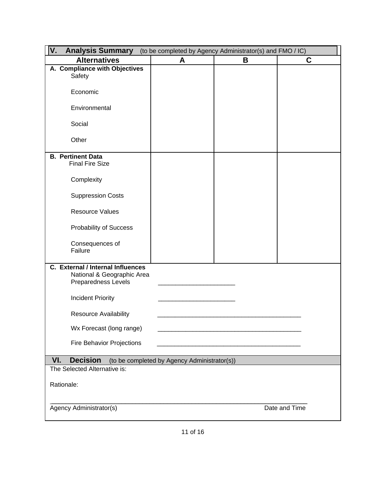| V.<br><b>Analysis Summary</b>                                                          | (to be completed by Agency Administrator(s) and FMO / IC) |   |               |
|----------------------------------------------------------------------------------------|-----------------------------------------------------------|---|---------------|
| <b>Alternatives</b>                                                                    | A                                                         | B | C             |
| A. Compliance with Objectives<br>Safety                                                |                                                           |   |               |
| Economic                                                                               |                                                           |   |               |
| Environmental                                                                          |                                                           |   |               |
| Social                                                                                 |                                                           |   |               |
| Other                                                                                  |                                                           |   |               |
| <b>B. Pertinent Data</b>                                                               |                                                           |   |               |
| <b>Final Fire Size</b>                                                                 |                                                           |   |               |
| Complexity                                                                             |                                                           |   |               |
| <b>Suppression Costs</b>                                                               |                                                           |   |               |
| Resource Values                                                                        |                                                           |   |               |
| Probability of Success                                                                 |                                                           |   |               |
| Consequences of<br>Failure                                                             |                                                           |   |               |
|                                                                                        |                                                           |   |               |
| C. External / Internal Influences<br>National & Geographic Area<br>Preparedness Levels |                                                           |   |               |
| <b>Incident Priority</b>                                                               |                                                           |   |               |
| <b>Resource Availability</b>                                                           |                                                           |   |               |
| Wx Forecast (long range)                                                               |                                                           |   |               |
| Fire Behavior Projections                                                              |                                                           |   |               |
| VI.<br><b>Decision</b>                                                                 | (to be completed by Agency Administrator(s))              |   |               |
| The Selected Alternative is:                                                           |                                                           |   |               |
| Rationale:                                                                             |                                                           |   |               |
|                                                                                        |                                                           |   |               |
| Agency Administrator(s)                                                                |                                                           |   | Date and Time |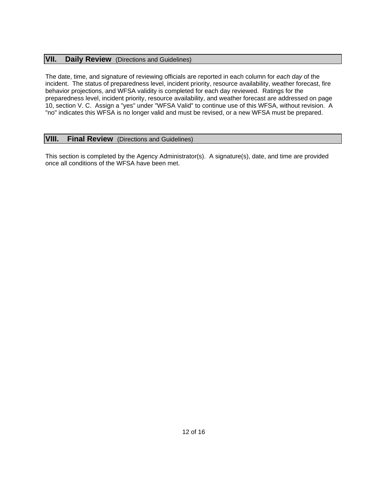## **VII. Daily Review** (Directions and Guidelines)

The date, time, and signature of reviewing officials are reported in each column for *each day* of the incident. The status of preparedness level, incident priority, resource availability, weather forecast, fire behavior projections, and WFSA validity is completed for each day reviewed. Ratings for the preparedness level, incident priority, resource availability, and weather forecast are addressed on page 10, section V. C. Assign a "yes" under "WFSA Valid" to continue use of this WFSA, without revision. A "no" indicates this WFSA is no longer valid and must be revised, or a new WFSA must be prepared.

## **VIII. Final Review** (Directions and Guidelines)

This section is completed by the Agency Administrator(s). A signature(s), date, and time are provided once all conditions of the WFSA have been met.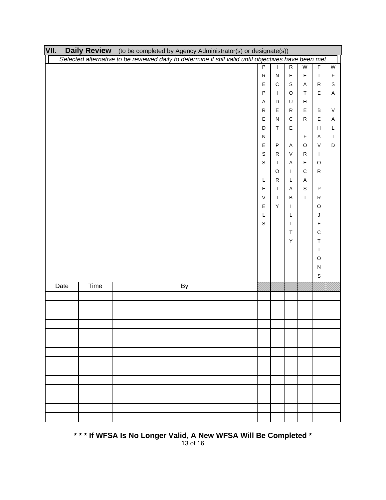| VII. | <b>Daily Review</b><br>(to be completed by Agency Administrator(s) or designate(s))                  |    |                |                          |                |                           |                           |                |
|------|------------------------------------------------------------------------------------------------------|----|----------------|--------------------------|----------------|---------------------------|---------------------------|----------------|
|      | Selected alternative to be reviewed daily to determine if still valid until objectives have been met |    |                |                          |                |                           |                           |                |
|      |                                                                                                      |    | $\overline{P}$ | $\mathbf{I}$             | $\overline{R}$ | W                         | $\overline{F}$            | W              |
|      |                                                                                                      |    | ${\sf R}$      | ${\sf N}$                | $\mathsf E$    | $\mathsf E$               | $\mathbf{I}$              | $\mathsf F$    |
|      |                                                                                                      |    | $\mathsf E$    | $\mathsf C$              | $\mathsf S$    | $\mathsf A$               | ${\sf R}$                 | $\mbox{\bf S}$ |
|      |                                                                                                      |    | $\sf P$        | $\mathbf{I}$             | $\mathsf O$    | $\mathsf T$               | E                         | $\mathsf A$    |
|      |                                                                                                      |    | A              | $\mathsf D$              | $\sf U$        | $\boldsymbol{\mathsf{H}}$ |                           |                |
|      |                                                                                                      |    | $\mathsf{R}$   | $\mathsf E$              | ${\sf R}$      | $\mathsf E$               | B                         | $\vee$         |
|      |                                                                                                      |    | $\mathsf E$    | ${\sf N}$                | $\mathsf C$    | ${\sf R}$                 | E                         | $\mathsf A$    |
|      |                                                                                                      |    | D              | $\sf T$                  | $\mathsf E$    |                           | $\boldsymbol{\mathsf{H}}$ | $\mathsf L$    |
|      |                                                                                                      |    | ${\sf N}$      |                          |                | $\mathsf F$               | A                         | $\mathbf{I}$   |
|      |                                                                                                      |    | $\mathsf E$    | $\sf P$                  | A              | $\circ$                   | $\vee$                    | D              |
|      |                                                                                                      |    | $\mbox{S}$     | ${\sf R}$                | $\mathsf V$    | ${\sf R}$                 | $\mathbf{I}$              |                |
|      |                                                                                                      |    | $\mathsf S$    | $\mathbf{I}$             | $\mathsf A$    | $\mathsf E$               | $\mathsf O$               |                |
|      |                                                                                                      |    |                | $\mathsf O$              | $\mathbf{I}$   | $\mathsf{C}$              | ${\sf R}$                 |                |
|      |                                                                                                      |    | L              | ${\sf R}$                | L              | $\mathsf A$               |                           |                |
|      |                                                                                                      |    | $\mathsf E$    | $\overline{\phantom{a}}$ | A              | $\mathsf S$               | $\sf P$                   |                |
|      |                                                                                                      |    | $\sf V$        | $\sf T$                  | $\, {\bf B}$   | $\top$                    | ${\sf R}$                 |                |
|      |                                                                                                      |    | $\mathsf E$    | Υ                        | $\mathbf{I}$   |                           | $\mathsf O$               |                |
|      |                                                                                                      |    | L              |                          | L              |                           | J                         |                |
|      |                                                                                                      |    | S              |                          | $\mathbf{I}$   |                           | $\mathsf E$               |                |
|      |                                                                                                      |    |                |                          | $\sf T$        |                           | $\mathsf C$               |                |
|      |                                                                                                      |    |                |                          | Υ              |                           | $\top$                    |                |
|      |                                                                                                      |    |                |                          |                |                           | $\mathbf{I}$              |                |
|      |                                                                                                      |    |                |                          |                |                           | $\mathsf O$               |                |
|      |                                                                                                      |    |                |                          |                |                           | ${\sf N}$                 |                |
|      |                                                                                                      |    |                |                          |                |                           | $\mathbb S$               |                |
| Date | Time                                                                                                 | By |                |                          |                |                           |                           |                |
|      |                                                                                                      |    |                |                          |                |                           |                           |                |
|      |                                                                                                      |    |                |                          |                |                           |                           |                |
|      |                                                                                                      |    |                |                          |                |                           |                           |                |
|      |                                                                                                      |    |                |                          |                |                           |                           |                |
|      |                                                                                                      |    |                |                          |                |                           |                           |                |
|      |                                                                                                      |    |                |                          |                |                           |                           |                |
|      |                                                                                                      |    |                |                          |                |                           |                           |                |
|      |                                                                                                      |    |                |                          |                |                           |                           |                |
|      |                                                                                                      |    |                |                          |                |                           |                           |                |
|      |                                                                                                      |    |                |                          |                |                           |                           |                |
|      |                                                                                                      |    |                |                          |                |                           |                           |                |
|      |                                                                                                      |    |                |                          |                |                           |                           |                |
|      |                                                                                                      |    |                |                          |                |                           |                           |                |
|      |                                                                                                      |    |                |                          |                |                           |                           |                |
|      |                                                                                                      |    |                |                          |                |                           |                           |                |
|      |                                                                                                      |    |                |                          |                |                           |                           |                |

**\* \* \* If WFSA Is No Longer Valid, A New WFSA Will Be Completed \***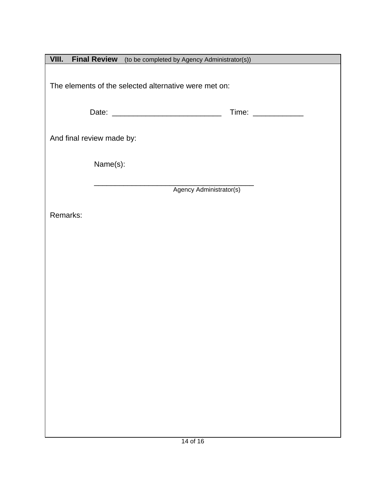| VIII.<br>Final Review (to be completed by Agency Administrator(s)) |
|--------------------------------------------------------------------|
|                                                                    |
| The elements of the selected alternative were met on:              |
|                                                                    |
|                                                                    |
| Time: _____________                                                |
|                                                                    |
| And final review made by:                                          |
|                                                                    |
| Name(s):                                                           |
|                                                                    |
| Agency Administrator(s)                                            |
|                                                                    |
| Remarks:                                                           |
|                                                                    |
|                                                                    |
|                                                                    |
|                                                                    |
|                                                                    |
|                                                                    |
|                                                                    |
|                                                                    |
|                                                                    |
|                                                                    |
|                                                                    |
|                                                                    |
|                                                                    |
|                                                                    |
|                                                                    |
|                                                                    |
|                                                                    |
|                                                                    |
|                                                                    |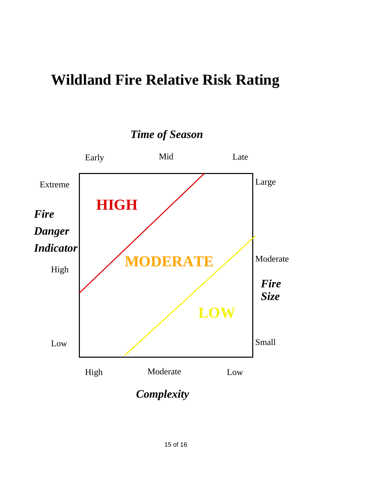# **Wildland Fire Relative Risk Rating**



*Time of Season*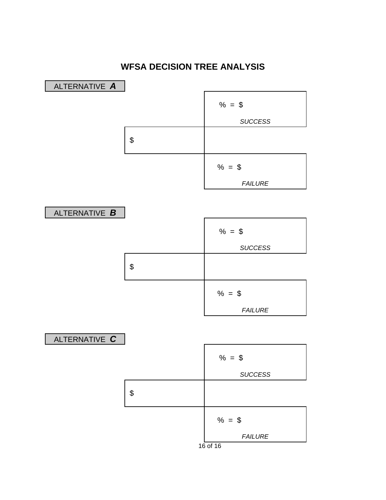## **WFSA DECISION TREE ANALYSIS**